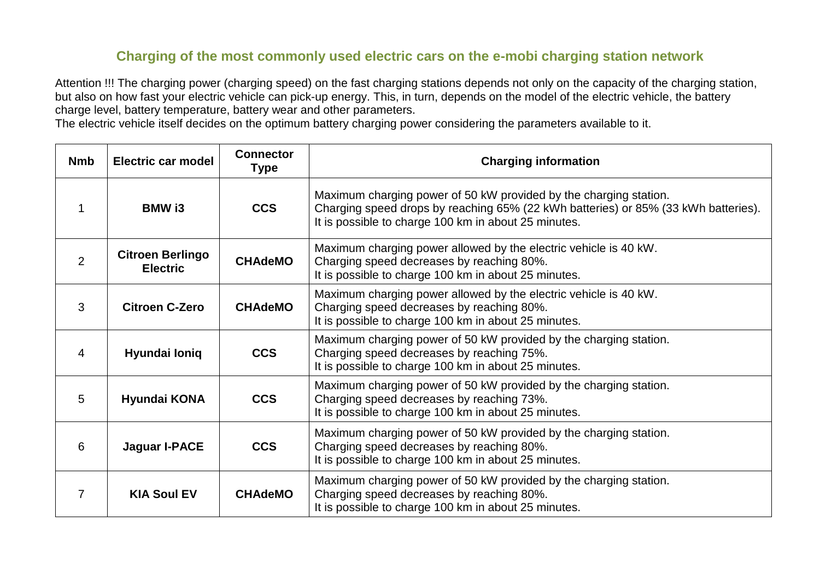## **Charging of the most commonly used electric cars on the e-mobi charging station network**

Attention !!! The charging power (charging speed) on the fast charging stations depends not only on the capacity of the charging station, but also on how fast your electric vehicle can pick-up energy. This, in turn, depends on the model of the electric vehicle, the battery charge level, battery temperature, battery wear and other parameters.

The electric vehicle itself decides on the optimum battery charging power considering the parameters available to it.

| <b>Nmb</b> | <b>Electric car model</b>                  | <b>Connector</b><br><b>Type</b> | <b>Charging information</b>                                                                                                                                                                                     |
|------------|--------------------------------------------|---------------------------------|-----------------------------------------------------------------------------------------------------------------------------------------------------------------------------------------------------------------|
|            | <b>BMW</b> i3                              | <b>CCS</b>                      | Maximum charging power of 50 kW provided by the charging station.<br>Charging speed drops by reaching 65% (22 kWh batteries) or 85% (33 kWh batteries).<br>It is possible to charge 100 km in about 25 minutes. |
| 2          | <b>Citroen Berlingo</b><br><b>Electric</b> | <b>CHAdeMO</b>                  | Maximum charging power allowed by the electric vehicle is 40 kW.<br>Charging speed decreases by reaching 80%.<br>It is possible to charge 100 km in about 25 minutes.                                           |
| 3          | <b>Citroen C-Zero</b>                      | <b>CHAdeMO</b>                  | Maximum charging power allowed by the electric vehicle is 40 kW.<br>Charging speed decreases by reaching 80%.<br>It is possible to charge 100 km in about 25 minutes.                                           |
| 4          | Hyundai Ioniq                              | <b>CCS</b>                      | Maximum charging power of 50 kW provided by the charging station.<br>Charging speed decreases by reaching 75%.<br>It is possible to charge 100 km in about 25 minutes.                                          |
| 5          | Hyundai KONA                               | <b>CCS</b>                      | Maximum charging power of 50 kW provided by the charging station.<br>Charging speed decreases by reaching 73%.<br>It is possible to charge 100 km in about 25 minutes.                                          |
| 6          | <b>Jaguar I-PACE</b>                       | <b>CCS</b>                      | Maximum charging power of 50 kW provided by the charging station.<br>Charging speed decreases by reaching 80%.<br>It is possible to charge 100 km in about 25 minutes.                                          |
| 7          | <b>KIA Soul EV</b>                         | <b>CHAdeMO</b>                  | Maximum charging power of 50 kW provided by the charging station.<br>Charging speed decreases by reaching 80%.<br>It is possible to charge 100 km in about 25 minutes.                                          |